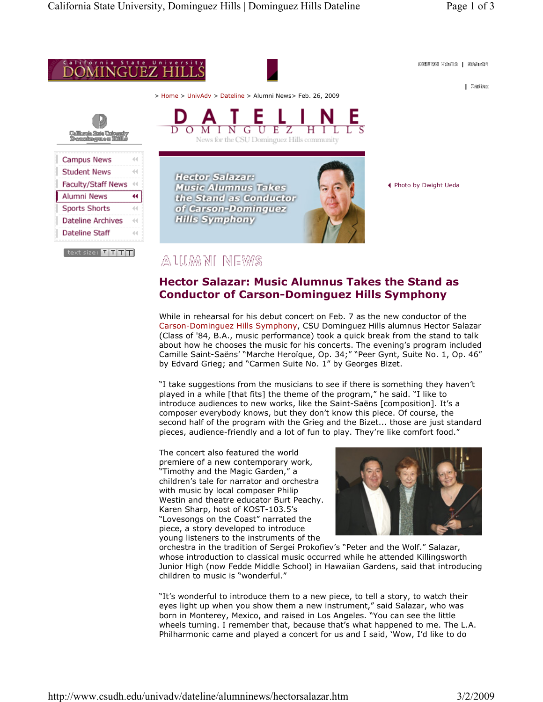

## **Hector Salazar: Music Alumnus Takes the Stand as Conductor of Carson-Dominguez Hills Symphony**

While in rehearsal for his debut concert on Feb. 7 as the new conductor of the Carson-Dominguez Hills Symphony, CSU Dominguez Hills alumnus Hector Salazar (Class of '84, B.A., music performance) took a quick break from the stand to talk about how he chooses the music for his concerts. The evening's program included Camille Saint-Saëns' "Marche Heroïque, Op. 34;" "Peer Gynt, Suite No. 1, Op. 46" by Edvard Grieg; and "Carmen Suite No. 1" by Georges Bizet.

"I take suggestions from the musicians to see if there is something they haven't played in a while [that fits] the theme of the program," he said. "I like to introduce audiences to new works, like the Saint-Saëns [composition]. It's a composer everybody knows, but they don't know this piece. Of course, the second half of the program with the Grieg and the Bizet... those are just standard pieces, audience-friendly and a lot of fun to play. They're like comfort food."

The concert also featured the world premiere of a new contemporary work, "Timothy and the Magic Garden," a children's tale for narrator and orchestra with music by local composer Philip Westin and theatre educator Burt Peachy. Karen Sharp, host of KOST-103.5's "Lovesongs on the Coast" narrated the piece, a story developed to introduce young listeners to the instruments of the



orchestra in the tradition of Sergei Prokofiev's "Peter and the Wolf." Salazar, whose introduction to classical music occurred while he attended Killingsworth Junior High (now Fedde Middle School) in Hawaiian Gardens, said that introducing children to music is "wonderful."

"It's wonderful to introduce them to a new piece, to tell a story, to watch their eyes light up when you show them a new instrument," said Salazar, who was born in Monterey, Mexico, and raised in Los Angeles. "You can see the little wheels turning. I remember that, because that's what happened to me. The L.A. Philharmonic came and played a concert for us and I said, 'Wow, I'd like to do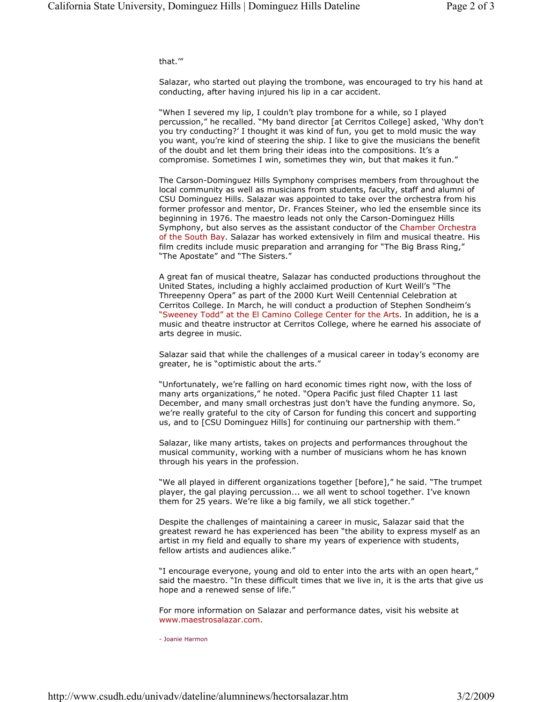that.'"

Salazar, who started out playing the trombone, was encouraged to try his hand at conducting, after having injured his lip in a car accident.

"When I severed my lip, I couldn't play trombone for a while, so I played percussion," he recalled. "My band director [at Cerritos College] asked, 'Why don't you try conducting?' I thought it was kind of fun, you get to mold music the way you want, you're kind of steering the ship. I like to give the musicians the benefit of the doubt and let them bring their ideas into the compositions. It's a compromise. Sometimes I win, sometimes they win, but that makes it fun."

The Carson-Dominguez Hills Symphony comprises members from throughout the local community as well as musicians from students, faculty, staff and alumni of CSU Dominguez Hills. Salazar was appointed to take over the orchestra from his former professor and mentor, Dr. Frances Steiner, who led the ensemble since its beginning in 1976. The maestro leads not only the Carson-Dominguez Hills Symphony, but also serves as the assistant conductor of the Chamber Orchestra of the South Bay. Salazar has worked extensively in film and musical theatre. His film credits include music preparation and arranging for "The Big Brass Ring," "The Apostate" and "The Sisters."

A great fan of musical theatre, Salazar has conducted productions throughout the United States, including a highly acclaimed production of Kurt Weill's "The Threepenny Opera" as part of the 2000 Kurt Weill Centennial Celebration at Cerritos College. In March, he will conduct a production of Stephen Sondheim's "Sweeney Todd" at the El Camino College Center for the Arts. In addition, he is a music and theatre instructor at Cerritos College, where he earned his associate of arts degree in music.

Salazar said that while the challenges of a musical career in today's economy are greater, he is "optimistic about the arts."

"Unfortunately, we're falling on hard economic times right now, with the loss of many arts organizations," he noted. "Opera Pacific just filed Chapter 11 last December, and many small orchestras just don't have the funding anymore. So, we're really grateful to the city of Carson for funding this concert and supporting us, and to [CSU Dominguez Hills] for continuing our partnership with them."

Salazar, like many artists, takes on projects and performances throughout the musical community, working with a number of musicians whom he has known through his years in the profession.

"We all played in different organizations together [before]," he said. "The trumpet player, the gal playing percussion... we all went to school together. I've known them for 25 years. We're like a big family, we all stick together."

Despite the challenges of maintaining a career in music, Salazar said that the greatest reward he has experienced has been "the ability to express myself as an artist in my field and equally to share my years of experience with students, fellow artists and audiences alike."

"I encourage everyone, young and old to enter into the arts with an open heart," said the maestro. "In these difficult times that we live in, it is the arts that give us hope and a renewed sense of life."

For more information on Salazar and performance dates, visit his website at www.maestrosalazar.com.

- Joanie Harmon